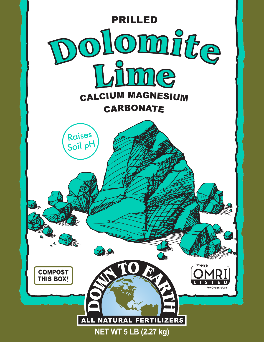